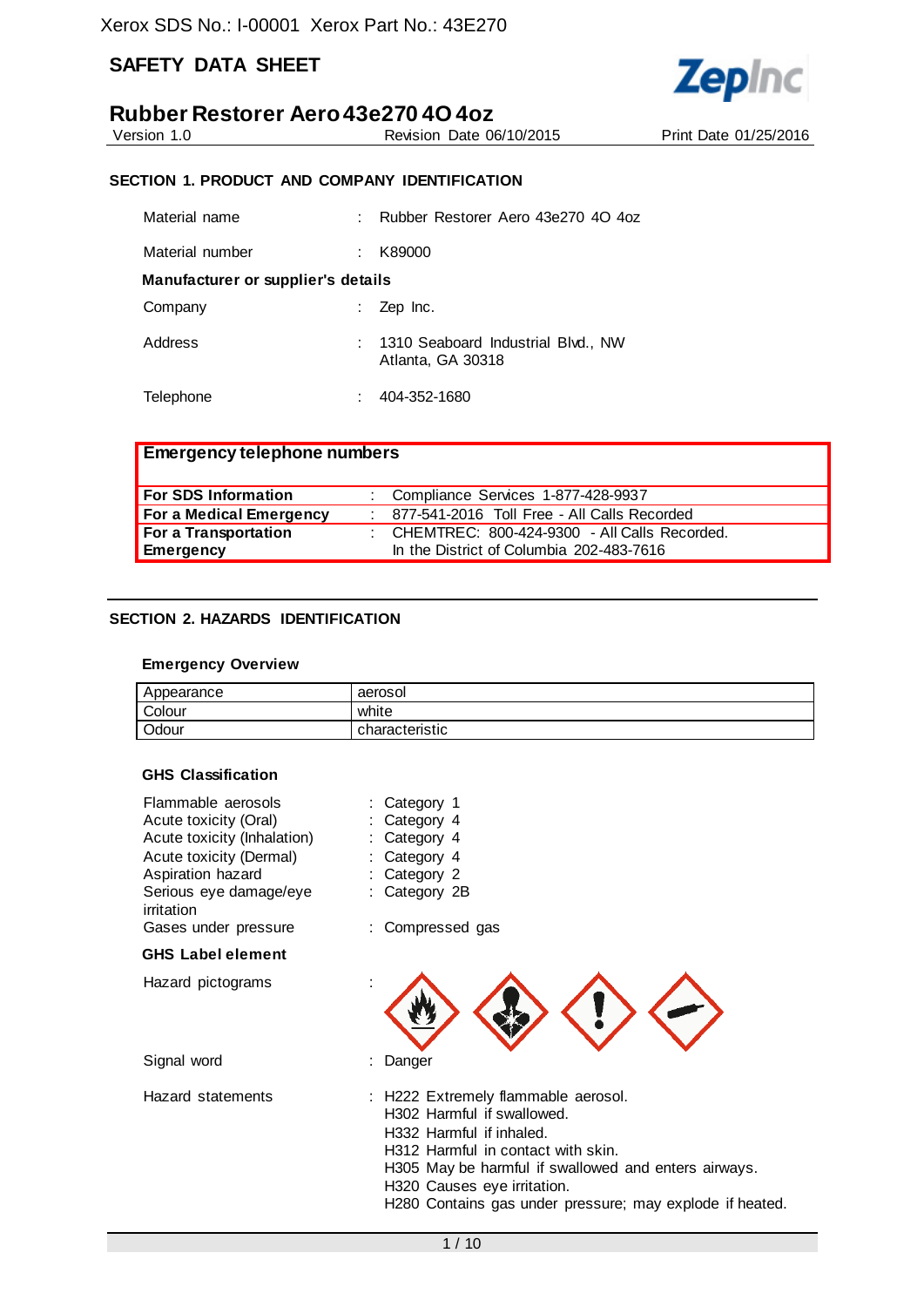# **SAFETY DATA SHEET**

# **Rubber Restorer Aero 43e270 4O 4oz**

Version 1.0 Revision Date 06/10/2015 Print Date 01/25/2016

**Zepinc** 

#### **SECTION 1. PRODUCT AND COMPANY IDENTIFICATION**

| Material name                      | Rubber Restorer Aero 43e270 4O 4oz                        |
|------------------------------------|-----------------------------------------------------------|
| Material number                    | K89000                                                    |
| Manufacturer or supplier's details |                                                           |
| Company                            | $\therefore$ Zep Inc.                                     |
| Address                            | : 1310 Seaboard Industrial Blvd., NW<br>Atlanta, GA 30318 |
| Telephone                          | 404-352-1680                                              |

| <b>Emergency telephone numbers</b> |                                                  |
|------------------------------------|--------------------------------------------------|
| <b>For SDS Information</b>         | : Compliance Services 1-877-428-9937             |
| For a Medical Emergency            | : 877-541-2016 Toll Free - All Calls Recorded    |
| For a Transportation               | : CHEMTREC: $800-424-9300$ - All Calls Recorded. |
| Emergency                          | In the District of Columbia 202-483-7616         |

#### **SECTION 2. HAZARDS IDENTIFICATION**

#### **Emergency Overview**

| Appearance | aerosol        |
|------------|----------------|
| Colour     | white          |
| Odour      | characteristic |

#### **GHS Classification**

| Flammable aerosols<br>Acute toxicity (Oral)<br>Acute toxicity (Inhalation)<br>Acute toxicity (Dermal)<br>Aspiration hazard<br>Serious eye damage/eye<br>irritation<br>Gases under pressure | Category 1<br>Category 4<br>: Category 4<br>: Category 4<br>: Category 2<br>: Category 2B<br>: Compressed gas                                                                                                                                                                          |
|--------------------------------------------------------------------------------------------------------------------------------------------------------------------------------------------|----------------------------------------------------------------------------------------------------------------------------------------------------------------------------------------------------------------------------------------------------------------------------------------|
|                                                                                                                                                                                            |                                                                                                                                                                                                                                                                                        |
| <b>GHS Label element</b>                                                                                                                                                                   |                                                                                                                                                                                                                                                                                        |
| Hazard pictograms                                                                                                                                                                          |                                                                                                                                                                                                                                                                                        |
| Signal word                                                                                                                                                                                | Danger                                                                                                                                                                                                                                                                                 |
| Hazard statements                                                                                                                                                                          | : H222 Extremely flammable aerosol.<br>H302 Harmful if swallowed.<br>H332 Harmful if inhaled.<br>H312 Harmful in contact with skin.<br>H305 May be harmful if swallowed and enters airways.<br>H320 Causes eye irritation.<br>H280 Contains gas under pressure; may explode if heated. |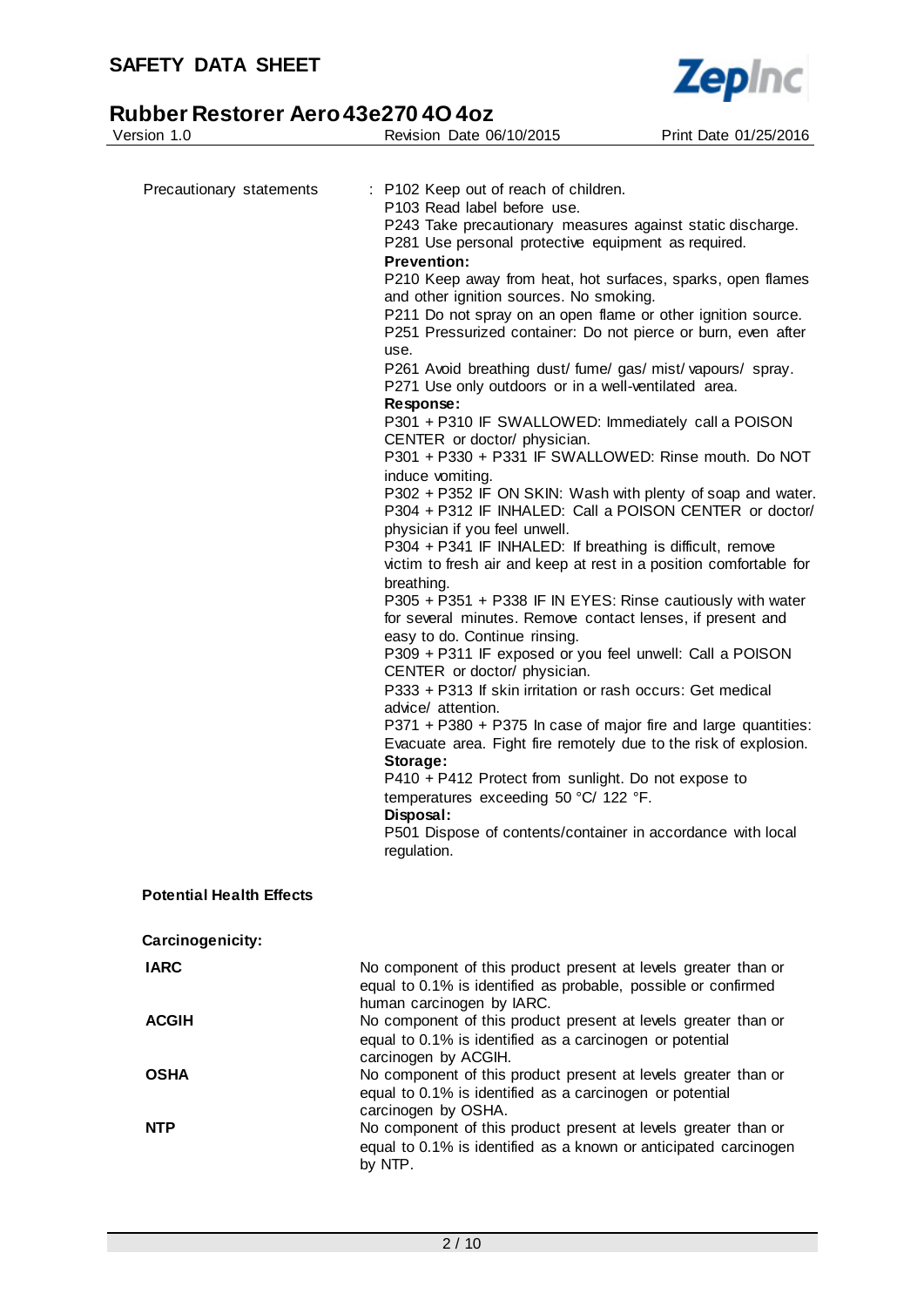

Revision Date 06/10/2015 Print Date 01/25/2016

# **Rubber Restorer Aero 43e270 4O 4oz**

| Precautionary statements                            | : P102 Keep out of reach of children.<br>P103 Read label before use.<br>P243 Take precautionary measures against static discharge.<br>P281 Use personal protective equipment as required.<br><b>Prevention:</b><br>P210 Keep away from heat, hot surfaces, sparks, open flames<br>and other ignition sources. No smoking.<br>P211 Do not spray on an open flame or other ignition source.<br>P251 Pressurized container: Do not pierce or burn, even after<br>use.<br>P261 Avoid breathing dust/ fume/ gas/ mist/ vapours/ spray.<br>P271 Use only outdoors or in a well-ventilated area.<br>Response:<br>P301 + P310 IF SWALLOWED: Immediately call a POISON<br>CENTER or doctor/ physician.<br>P301 + P330 + P331 IF SWALLOWED: Rinse mouth. Do NOT<br>induce vomiting.<br>P302 + P352 IF ON SKIN: Wash with plenty of soap and water.<br>P304 + P312 IF INHALED: Call a POISON CENTER or doctor/<br>physician if you feel unwell.<br>P304 + P341 IF INHALED: If breathing is difficult, remove<br>victim to fresh air and keep at rest in a position comfortable for<br>breathing.<br>P305 + P351 + P338 IF IN EYES: Rinse cautiously with water<br>for several minutes. Remove contact lenses, if present and<br>easy to do. Continue rinsing.<br>P309 + P311 IF exposed or you feel unwell: Call a POISON<br>CENTER or doctor/ physician.<br>P333 + P313 If skin irritation or rash occurs: Get medical<br>advice/ attention.<br>P371 + P380 + P375 In case of major fire and large quantities:<br>Evacuate area. Fight fire remotely due to the risk of explosion.<br>Storage:<br>P410 + P412 Protect from sunlight. Do not expose to<br>temperatures exceeding 50 °C/ 122 °F.<br>Disposal:<br>P501 Dispose of contents/container in accordance with local<br>regulation. |
|-----------------------------------------------------|---------------------------------------------------------------------------------------------------------------------------------------------------------------------------------------------------------------------------------------------------------------------------------------------------------------------------------------------------------------------------------------------------------------------------------------------------------------------------------------------------------------------------------------------------------------------------------------------------------------------------------------------------------------------------------------------------------------------------------------------------------------------------------------------------------------------------------------------------------------------------------------------------------------------------------------------------------------------------------------------------------------------------------------------------------------------------------------------------------------------------------------------------------------------------------------------------------------------------------------------------------------------------------------------------------------------------------------------------------------------------------------------------------------------------------------------------------------------------------------------------------------------------------------------------------------------------------------------------------------------------------------------------------------------------------------------------------------------------------------------------------------------------------|
| <b>Potential Health Effects</b><br>Carcinogenicity: |                                                                                                                                                                                                                                                                                                                                                                                                                                                                                                                                                                                                                                                                                                                                                                                                                                                                                                                                                                                                                                                                                                                                                                                                                                                                                                                                                                                                                                                                                                                                                                                                                                                                                                                                                                                 |
|                                                     |                                                                                                                                                                                                                                                                                                                                                                                                                                                                                                                                                                                                                                                                                                                                                                                                                                                                                                                                                                                                                                                                                                                                                                                                                                                                                                                                                                                                                                                                                                                                                                                                                                                                                                                                                                                 |
| <b>IARC</b><br><b>ACGIH</b>                         | No component of this product present at levels greater than or<br>equal to 0.1% is identified as probable, possible or confirmed<br>human carcinogen by IARC.<br>No component of this product present at levels greater than or                                                                                                                                                                                                                                                                                                                                                                                                                                                                                                                                                                                                                                                                                                                                                                                                                                                                                                                                                                                                                                                                                                                                                                                                                                                                                                                                                                                                                                                                                                                                                 |
|                                                     | equal to 0.1% is identified as a carcinogen or potential<br>carcinogen by ACGIH.                                                                                                                                                                                                                                                                                                                                                                                                                                                                                                                                                                                                                                                                                                                                                                                                                                                                                                                                                                                                                                                                                                                                                                                                                                                                                                                                                                                                                                                                                                                                                                                                                                                                                                |
| <b>OSHA</b>                                         | No component of this product present at levels greater than or<br>equal to 0.1% is identified as a carcinogen or potential<br>carcinogen by OSHA.                                                                                                                                                                                                                                                                                                                                                                                                                                                                                                                                                                                                                                                                                                                                                                                                                                                                                                                                                                                                                                                                                                                                                                                                                                                                                                                                                                                                                                                                                                                                                                                                                               |
| <b>NTP</b>                                          | No component of this product present at levels greater than or<br>equal to 0.1% is identified as a known or anticipated carcinogen<br>by NTP.                                                                                                                                                                                                                                                                                                                                                                                                                                                                                                                                                                                                                                                                                                                                                                                                                                                                                                                                                                                                                                                                                                                                                                                                                                                                                                                                                                                                                                                                                                                                                                                                                                   |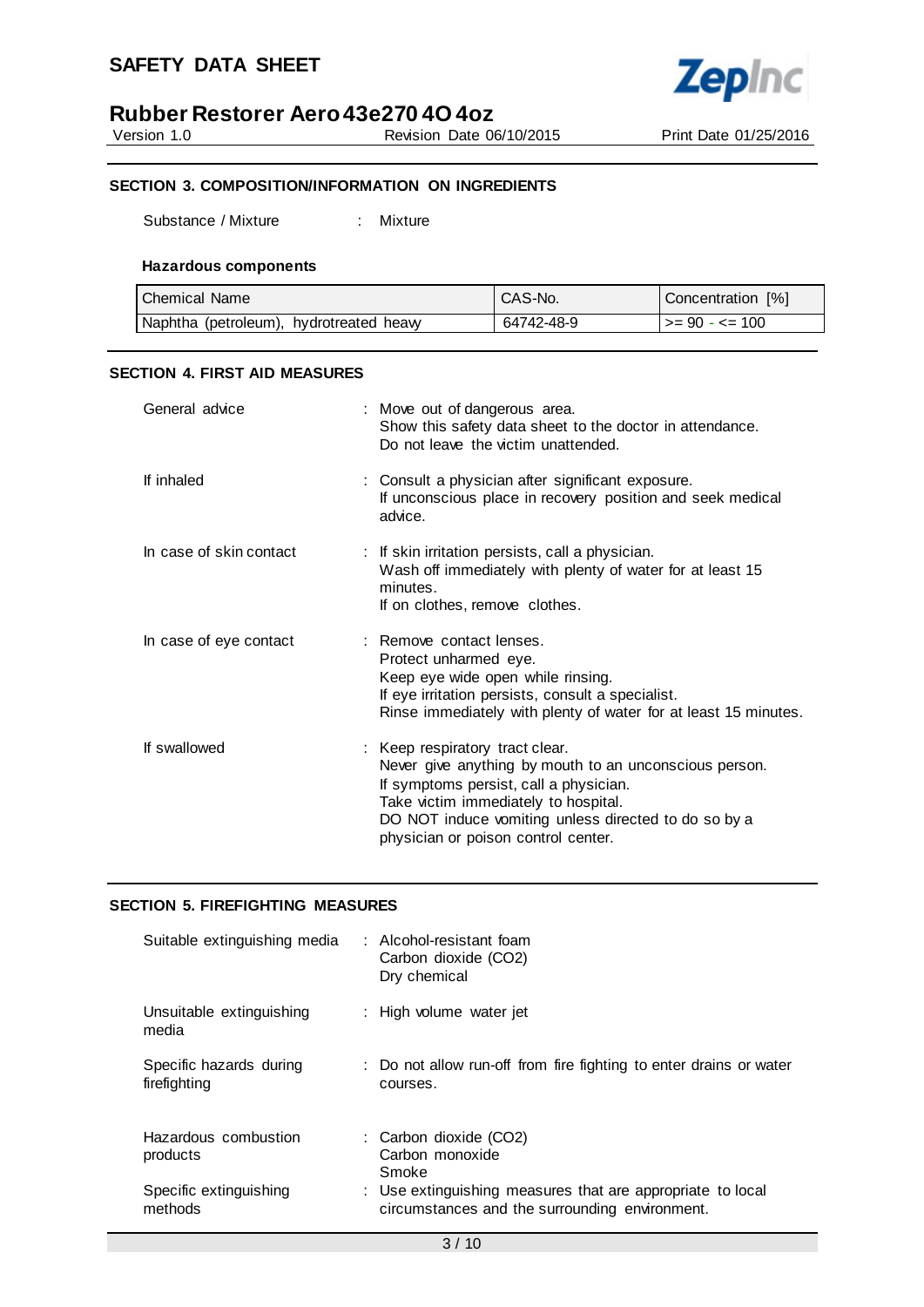

**Zepinc** 

## Version 1.0 Revision Date 06/10/2015 Print Date 01/25/2016

#### **SECTION 3. COMPOSITION/INFORMATION ON INGREDIENTS**

Substance / Mixture : Mixture

#### **Hazardous components**

| <b>Chemical Name</b>                    | CAS-No.    | Concentration [%]      |
|-----------------------------------------|------------|------------------------|
| Naphtha (petroleum), hydrotreated heavy | 64742-48-9 | $\vert$ >= 90 - <= 100 |

#### **SECTION 4. FIRST AID MEASURES**

| General advice          | : Move out of dangerous area.<br>Show this safety data sheet to the doctor in attendance.<br>Do not leave the victim unattended.                                                                                                                                           |
|-------------------------|----------------------------------------------------------------------------------------------------------------------------------------------------------------------------------------------------------------------------------------------------------------------------|
| If inhaled              | : Consult a physician after significant exposure.<br>If unconscious place in recovery position and seek medical<br>advice.                                                                                                                                                 |
| In case of skin contact | : If skin irritation persists, call a physician.<br>Wash off immediately with plenty of water for at least 15<br>minutes.<br>If on clothes, remove clothes.                                                                                                                |
| In case of eye contact  | : Remove contact lenses.<br>Protect unharmed eye.<br>Keep eye wide open while rinsing.<br>If eye irritation persists, consult a specialist.<br>Rinse immediately with plenty of water for at least 15 minutes.                                                             |
| If swallowed            | : Keep respiratory tract clear.<br>Never give anything by mouth to an unconscious person.<br>If symptoms persist, call a physician.<br>Take victim immediately to hospital.<br>DO NOT induce vomiting unless directed to do so by a<br>physician or poison control center. |

#### **SECTION 5. FIREFIGHTING MEASURES**

| Suitable extinguishing media            | : Alcohol-resistant foam<br>Carbon dioxide (CO2)<br>Dry chemical                                             |
|-----------------------------------------|--------------------------------------------------------------------------------------------------------------|
| Unsuitable extinguishing<br>media       | : High volume water jet                                                                                      |
| Specific hazards during<br>firefighting | : Do not allow run-off from fire fighting to enter drains or water<br>courses.                               |
| Hazardous combustion<br>products        | : Carbon dioxide (CO2)<br>Carbon monoxide<br>Smoke                                                           |
| Specific extinguishing<br>methods       | : Use extinguishing measures that are appropriate to local<br>circumstances and the surrounding environment. |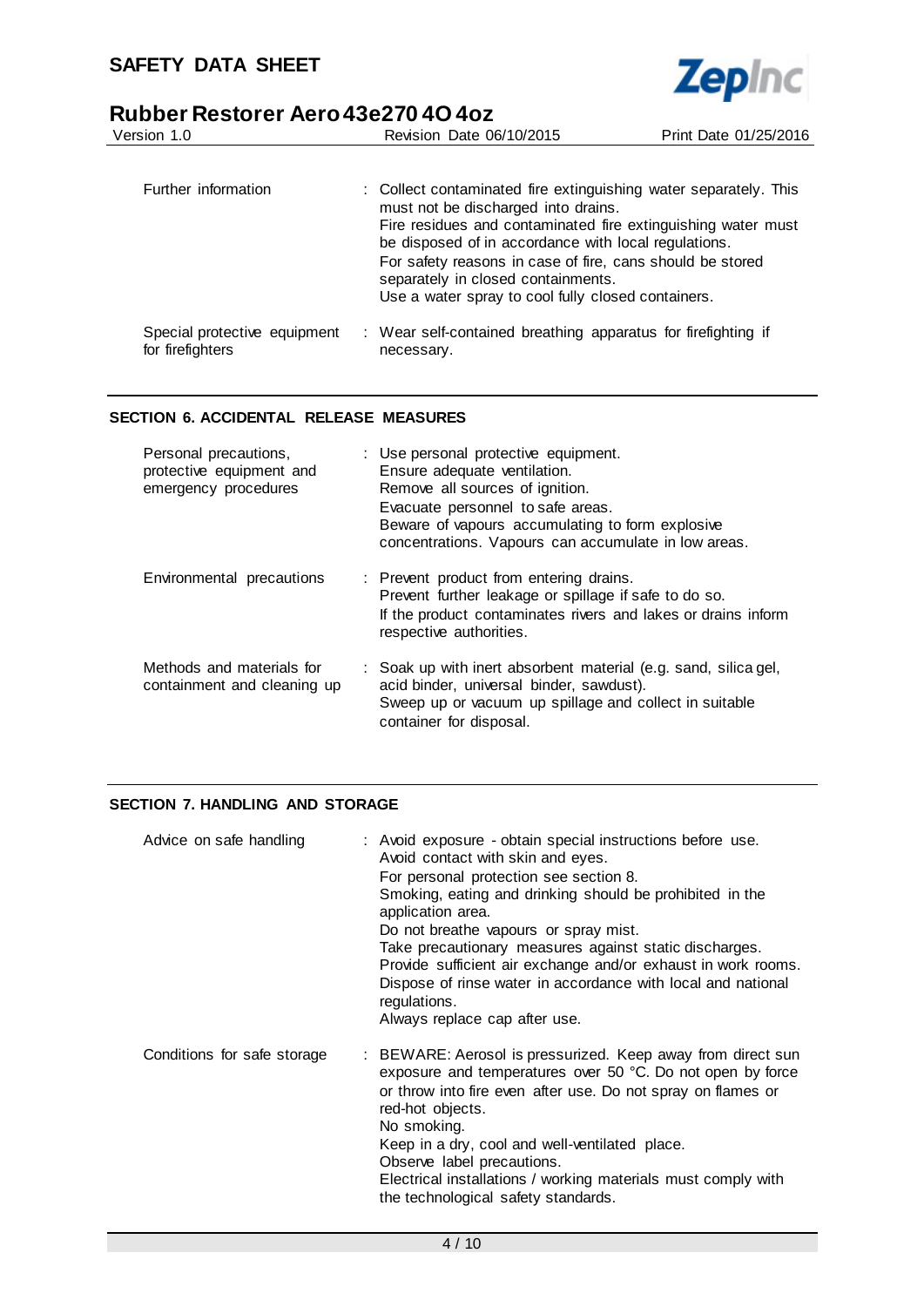

| Version 1.0                                      | Revision Date 06/10/2015                                                                                                                                                                                                                                                                                                                                                                 | Print Date 01/25/2016 |
|--------------------------------------------------|------------------------------------------------------------------------------------------------------------------------------------------------------------------------------------------------------------------------------------------------------------------------------------------------------------------------------------------------------------------------------------------|-----------------------|
|                                                  |                                                                                                                                                                                                                                                                                                                                                                                          |                       |
| Further information                              | : Collect contaminated fire extinguishing water separately. This<br>must not be discharged into drains.<br>Fire residues and contaminated fire extinguishing water must<br>be disposed of in accordance with local regulations.<br>For safety reasons in case of fire, cans should be stored<br>separately in closed containments.<br>Use a water spray to cool fully closed containers. |                       |
| Special protective equipment<br>for firefighters | : Wear self-contained breathing apparatus for firefighting if<br>necessary.                                                                                                                                                                                                                                                                                                              |                       |

#### **SECTION 6. ACCIDENTAL RELEASE MEASURES**

| Personal precautions,<br>protective equipment and<br>emergency procedures | : Use personal protective equipment.<br>Ensure adequate ventilation.<br>Remove all sources of ignition.<br>Evacuate personnel to safe areas.<br>Beware of vapours accumulating to form explosive<br>concentrations. Vapours can accumulate in low areas. |
|---------------------------------------------------------------------------|----------------------------------------------------------------------------------------------------------------------------------------------------------------------------------------------------------------------------------------------------------|
| Environmental precautions                                                 | : Prevent product from entering drains.<br>Prevent further leakage or spillage if safe to do so.<br>If the product contaminates rivers and lakes or drains inform<br>respective authorities.                                                             |
| Methods and materials for<br>containment and cleaning up                  | : Soak up with inert absorbent material (e.g. sand, silica gel,<br>acid binder, universal binder, sawdust).<br>Sweep up or vacuum up spillage and collect in suitable<br>container for disposal.                                                         |

#### **SECTION 7. HANDLING AND STORAGE**

| Advice on safe handling     | : Avoid exposure - obtain special instructions before use.<br>Avoid contact with skin and eyes.<br>For personal protection see section 8.<br>Smoking, eating and drinking should be prohibited in the<br>application area.<br>Do not breathe vapours or spray mist.<br>Take precautionary measures against static discharges.<br>Provide sufficient air exchange and/or exhaust in work rooms.<br>Dispose of rinse water in accordance with local and national<br>regulations.<br>Always replace cap after use. |
|-----------------------------|-----------------------------------------------------------------------------------------------------------------------------------------------------------------------------------------------------------------------------------------------------------------------------------------------------------------------------------------------------------------------------------------------------------------------------------------------------------------------------------------------------------------|
| Conditions for safe storage | : BEWARE: Aerosol is pressurized. Keep away from direct sun<br>exposure and temperatures over 50 °C. Do not open by force<br>or throw into fire even after use. Do not spray on flames or<br>red-hot objects.<br>No smoking.<br>Keep in a dry, cool and well-ventilated place.<br>Observe label precautions.<br>Electrical installations / working materials must comply with<br>the technological safety standards.                                                                                            |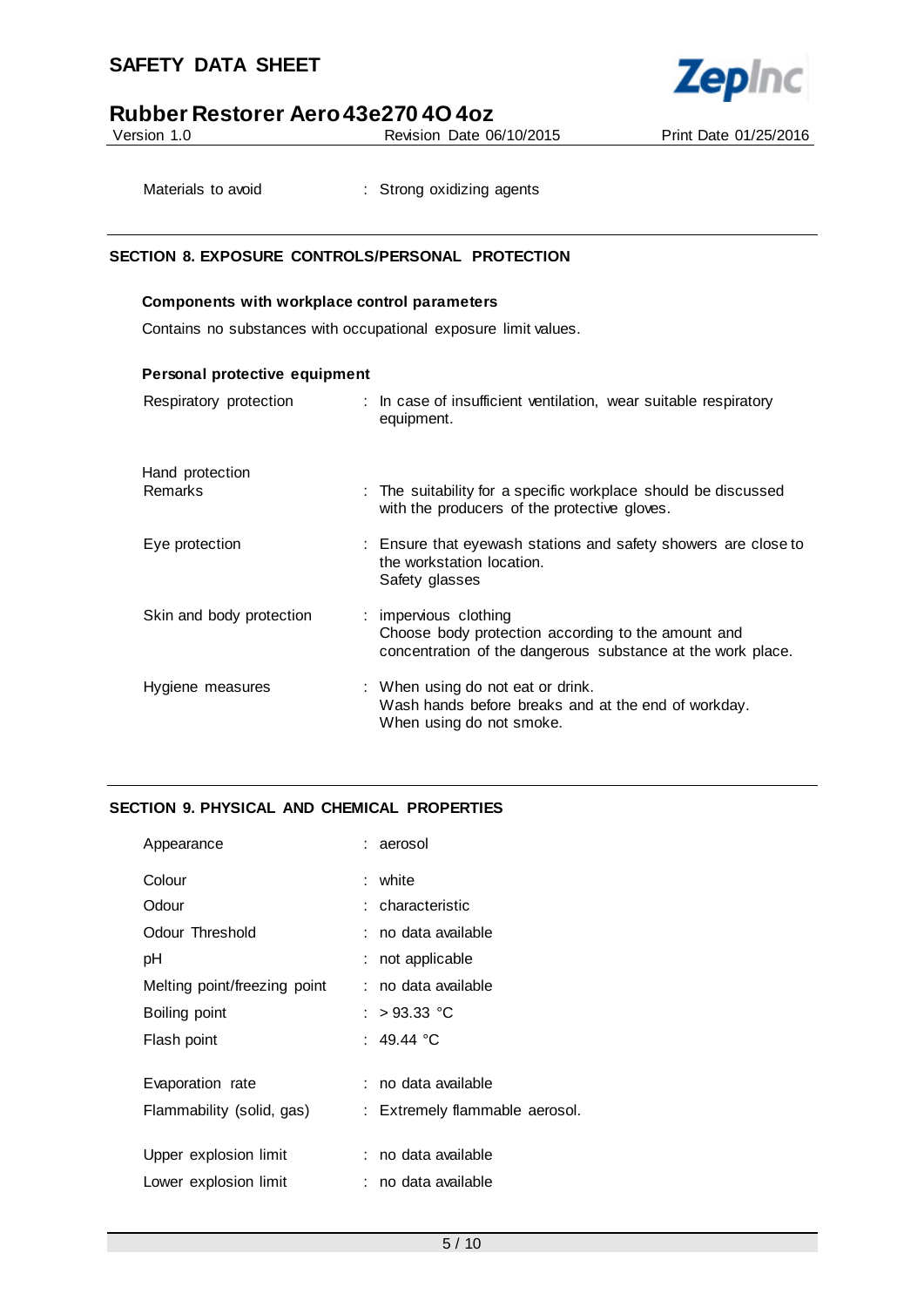

Version 1.0 Revision Date 06/10/2015 Print Date 01/25/2016

Materials to avoid : Strong oxidizing agents

#### **SECTION 8. EXPOSURE CONTROLS/PERSONAL PROTECTION**

#### **Components with workplace control parameters**

Contains no substances with occupational exposure limit values.

| Personal protective equipment |  |                                                                                                                                            |  |
|-------------------------------|--|--------------------------------------------------------------------------------------------------------------------------------------------|--|
| Respiratory protection        |  | : In case of insufficient ventilation, wear suitable respiratory<br>equipment.                                                             |  |
| Hand protection               |  |                                                                                                                                            |  |
| <b>Remarks</b>                |  | : The suitability for a specific workplace should be discussed<br>with the producers of the protective gloves.                             |  |
| Eye protection                |  | : Ensure that eyewash stations and safety showers are close to<br>the workstation location.<br>Safety glasses                              |  |
| Skin and body protection      |  | : impervious clothing<br>Choose body protection according to the amount and<br>concentration of the dangerous substance at the work place. |  |
| Hygiene measures              |  | : When using do not eat or drink.<br>Wash hands before breaks and at the end of workday.<br>When using do not smoke.                       |  |

#### **SECTION 9. PHYSICAL AND CHEMICAL PROPERTIES**

| Appearance                   | : aerosol                      |
|------------------------------|--------------------------------|
| Colour                       | white                          |
| Odour                        | : characteristic               |
| Odour Threshold              | : no data available            |
| рH                           | not applicable                 |
| Melting point/freezing point | : no data available            |
| Boiling point                | :>93.33 °C                     |
| Flash point                  | : 49.44 $^{\circ}$ C           |
|                              |                                |
| Evaporation rate             | : no data available            |
| Flammability (solid, gas)    | : Extremely flammable aerosol. |
| Upper explosion limit        | : no data available            |
| Lower explosion limit        | no data available              |
|                              |                                |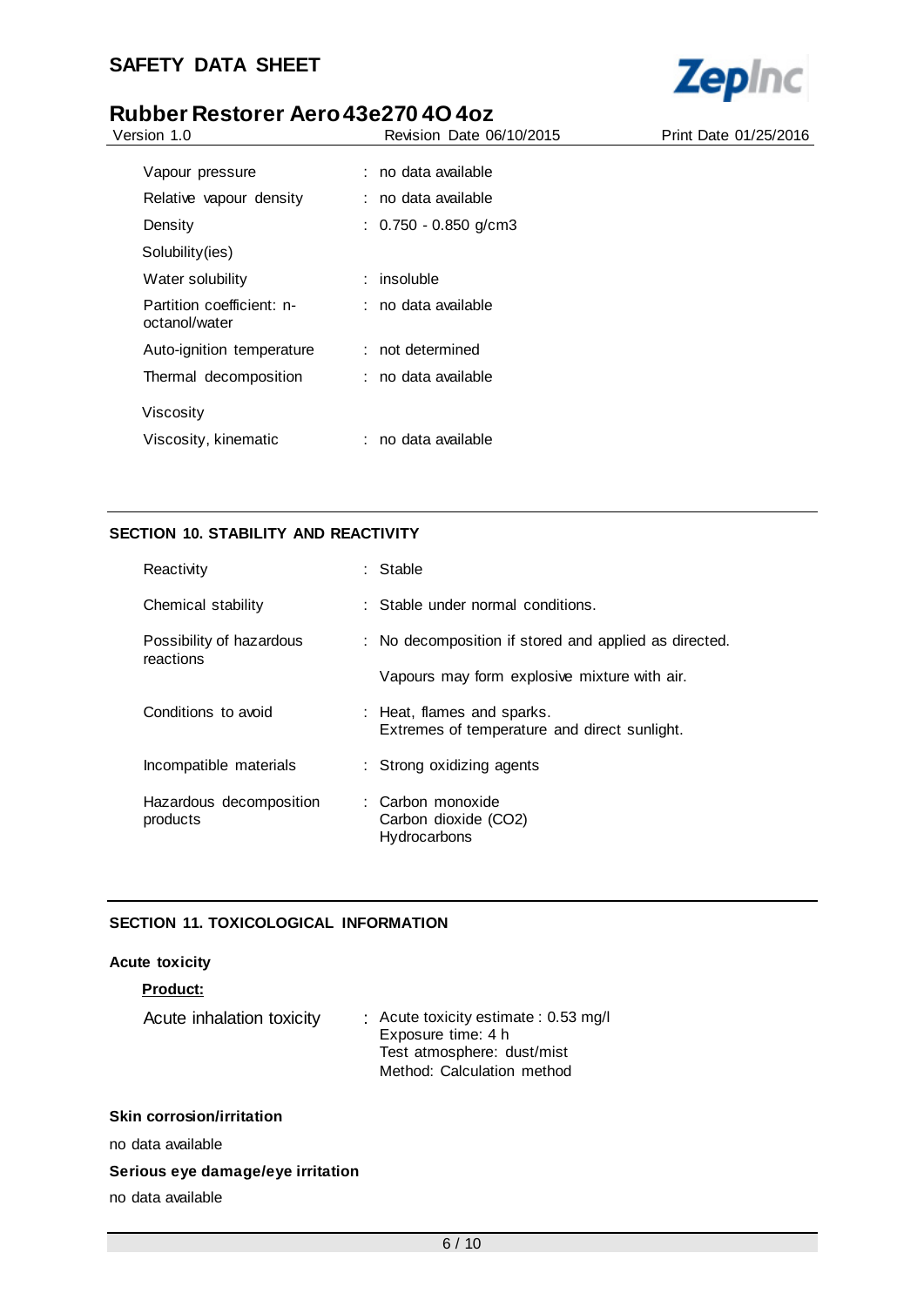$\overline{a}$ 



# **Rubber Restorer Aero 43e270 4O 4oz**

| Version 1.0                                | Revision Date 06/10/2015 | Print Date 01/25/2016 |
|--------------------------------------------|--------------------------|-----------------------|
| Vapour pressure                            | : no data available      |                       |
| Relative vapour density                    | : no data available      |                       |
| Density                                    | $: 0.750 - 0.850$ g/cm3  |                       |
| Solubility(ies)                            |                          |                       |
| Water solubility                           | $:$ insoluble            |                       |
| Partition coefficient: n-<br>octanol/water | : no data available      |                       |
| Auto-ignition temperature                  | : not determined         |                       |
| Thermal decomposition                      | : no data available      |                       |
| Viscosity                                  |                          |                       |
| Viscosity, kinematic                       | : no data available      |                       |

#### **SECTION 10. STABILITY AND REACTIVITY**

| Reactivity                            | : Stable                                                                   |
|---------------------------------------|----------------------------------------------------------------------------|
| Chemical stability                    | : Stable under normal conditions.                                          |
| Possibility of hazardous<br>reactions | : No decomposition if stored and applied as directed.                      |
|                                       | Vapours may form explosive mixture with air.                               |
| Conditions to avoid                   | : Heat, flames and sparks.<br>Extremes of temperature and direct sunlight. |
| Incompatible materials                | : Strong oxidizing agents                                                  |
| Hazardous decomposition<br>products   | : Carbon monoxide<br>Carbon dioxide (CO2)<br>Hydrocarbons                  |

#### **SECTION 11. TOXICOLOGICAL INFORMATION**

#### **Acute toxicity**

|  |  | Product: |  |  |  |  |  |
|--|--|----------|--|--|--|--|--|
|--|--|----------|--|--|--|--|--|

| Acute inhalation toxicity | : Acute toxicity estimate : $0.53$ mg/l<br>Exposure time: 4 h |
|---------------------------|---------------------------------------------------------------|
|                           | Test atmosphere: dust/mist                                    |
|                           | Method: Calculation method                                    |

#### **Skin corrosion/irritation**

no data available

#### **Serious eye damage/eye irritation**

no data available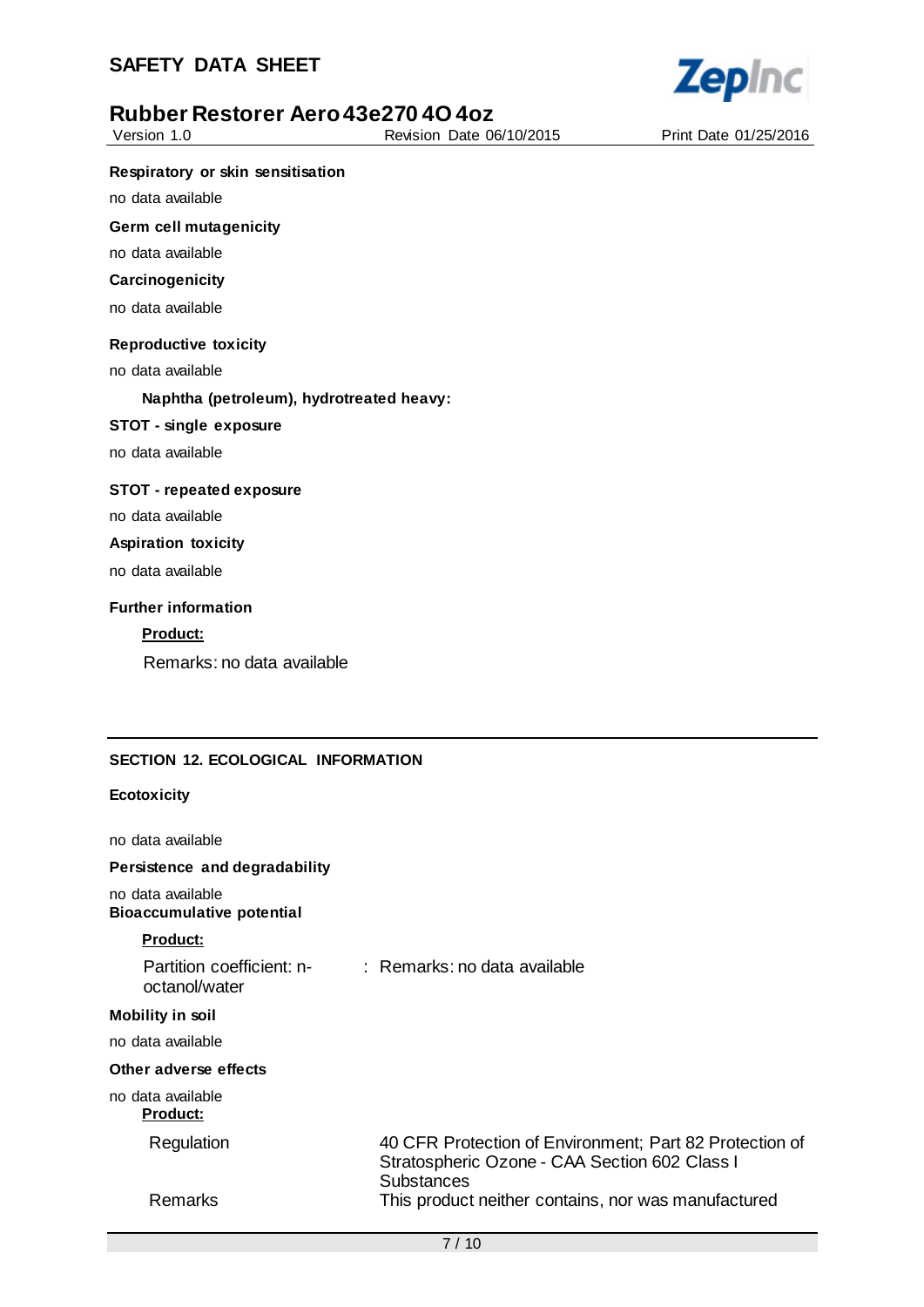

Version 1.0 Revision Date 06/10/2015 Print Date 01/25/2016

#### **Respiratory or skin sensitisation**

no data available

#### **Germ cell mutagenicity**

no data available

#### **Carcinogenicity**

no data available

#### **Reproductive toxicity**

no data available

#### **Naphtha (petroleum), hydrotreated heavy:**

#### **STOT - single exposure**

no data available

#### **STOT - repeated exposure**

no data available

#### **Aspiration toxicity**

no data available

#### **Further information**

#### **Product:**

Remarks: no data available

#### **SECTION 12. ECOLOGICAL INFORMATION**

#### **Ecotoxicity**

no data available

#### **Persistence and degradability**

## no data available

# **Bioaccumulative potential**

#### **Product:**

| Partition coefficient: n- | : Remarks: no data available |  |
|---------------------------|------------------------------|--|
| octanol/water             |                              |  |

#### **Mobility in soil**

no data available

#### **Other adverse effects**

no data available **Product:**

- Regulation 40 CFR Protection of Environment; Part 82 Protection of
- Remarks This product neither contains, nor was manufactured

**Substances** 

Stratospheric Ozone - CAA Section 602 Class I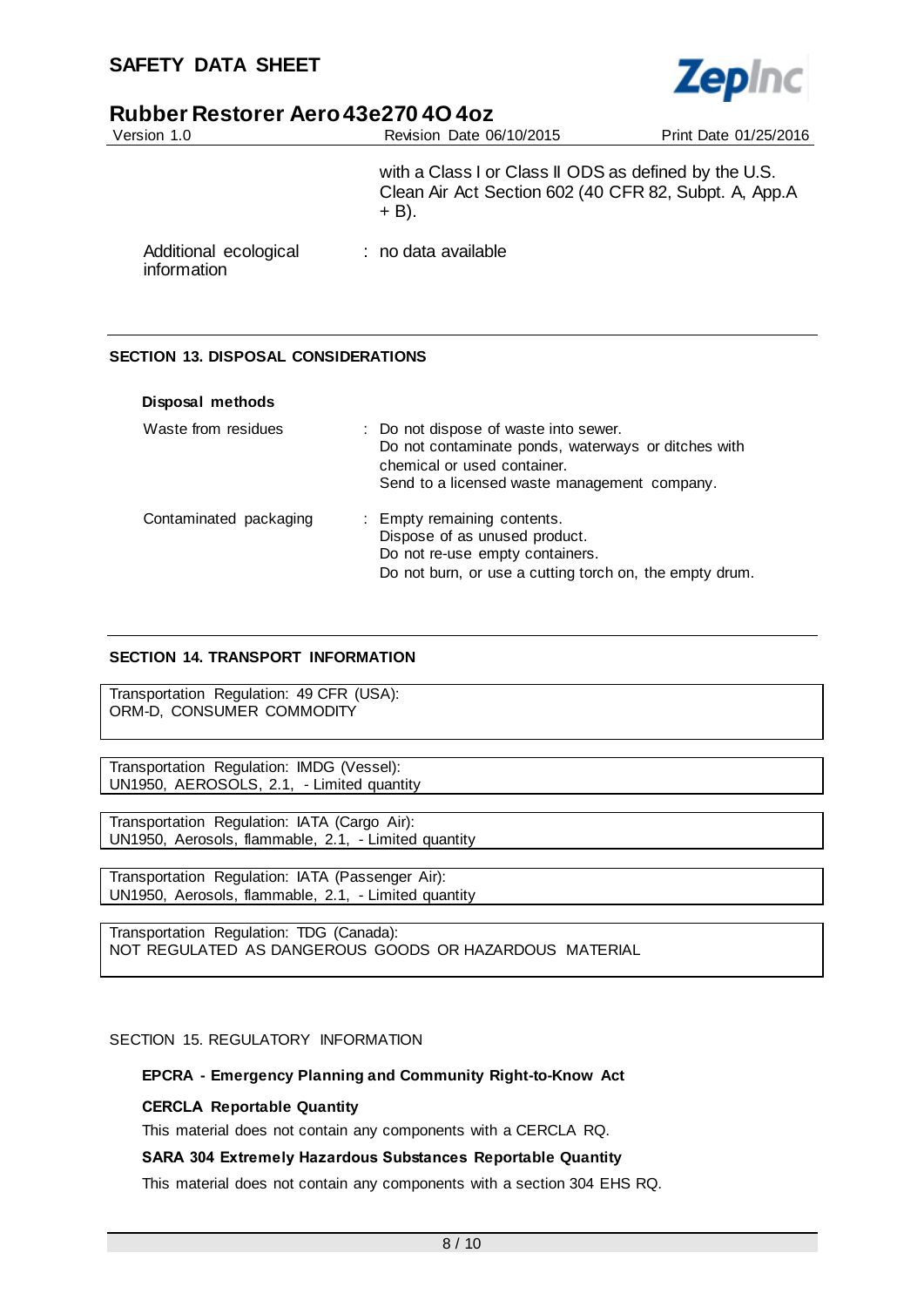

| Version 1.0                          | Revision Date 06/10/2015                                                                                                   | Print Date 01/25/2016 |
|--------------------------------------|----------------------------------------------------------------------------------------------------------------------------|-----------------------|
|                                      | with a Class I or Class II ODS as defined by the U.S.<br>Clean Air Act Section 602 (40 CFR 82, Subpt. A, App.A<br>$+ B$ ). |                       |
| Additional ecological<br>information | : no data available                                                                                                        |                       |

#### **SECTION 13. DISPOSAL CONSIDERATIONS**

| Disposal methods       |                                                                                                                                                                             |
|------------------------|-----------------------------------------------------------------------------------------------------------------------------------------------------------------------------|
| Waste from residues    | : Do not dispose of waste into sewer.<br>Do not contaminate ponds, waterways or ditches with<br>chemical or used container.<br>Send to a licensed waste management company. |
| Contaminated packaging | : Empty remaining contents.<br>Dispose of as unused product.<br>Do not re-use empty containers.<br>Do not burn, or use a cutting torch on, the empty drum.                  |

#### **SECTION 14. TRANSPORT INFORMATION**

Transportation Regulation: 49 CFR (USA): ORM-D, CONSUMER COMMODITY

Transportation Regulation: IMDG (Vessel): UN1950, AEROSOLS, 2.1, - Limited quantity

Transportation Regulation: IATA (Cargo Air): UN1950, Aerosols, flammable, 2.1, - Limited quantity

Transportation Regulation: IATA (Passenger Air): UN1950, Aerosols, flammable, 2.1, - Limited quantity

Transportation Regulation: TDG (Canada): NOT REGULATED AS DANGEROUS GOODS OR HAZARDOUS MATERIAL

#### SECTION 15. REGULATORY INFORMATION

#### **EPCRA - Emergency Planning and Community Right-to-Know Act**

#### **CERCLA Reportable Quantity**

This material does not contain any components with a CERCLA RQ.

#### **SARA 304 Extremely Hazardous Substances Reportable Quantity**

This material does not contain any components with a section 304 EHS RQ.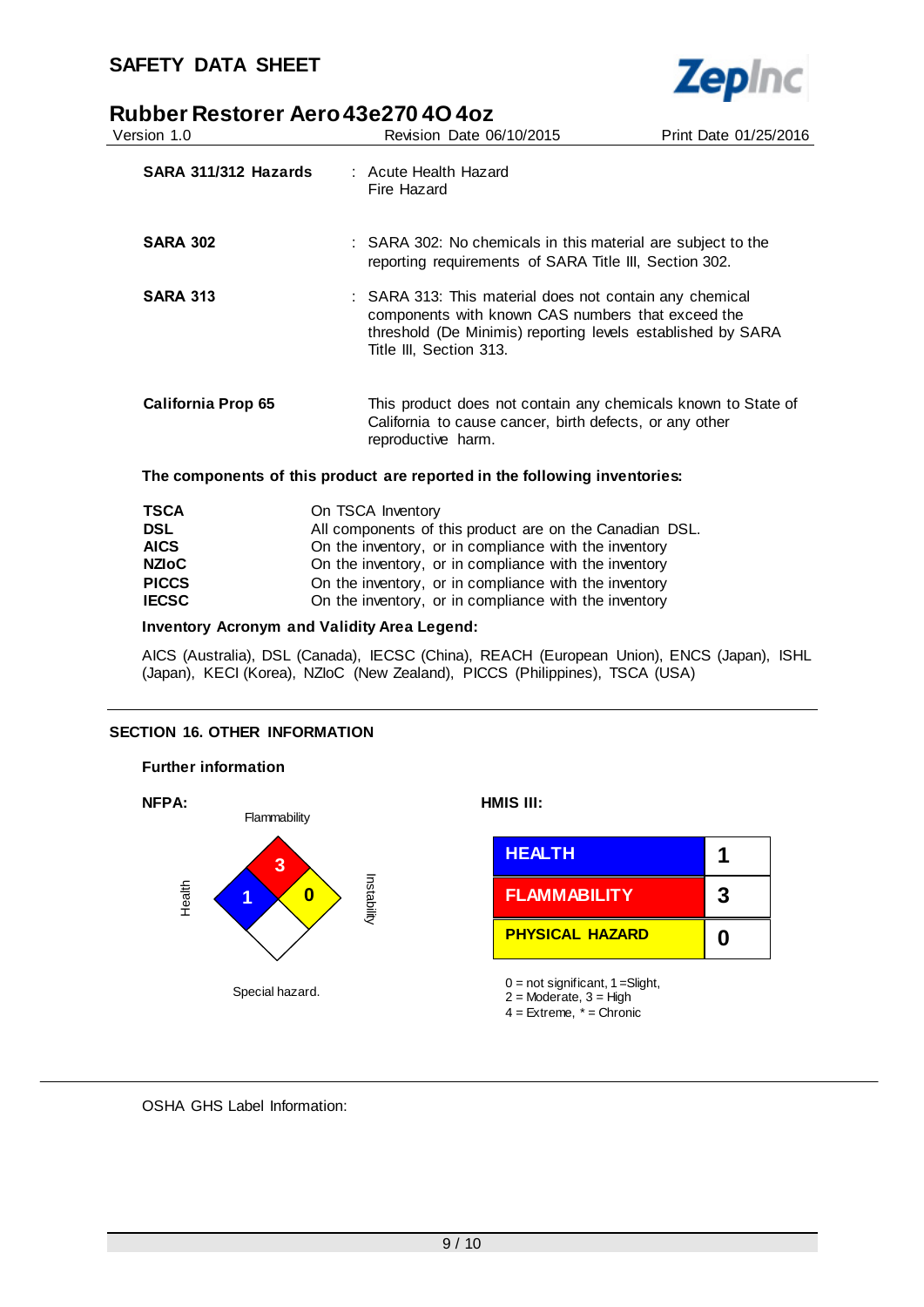

| Version 1.0                                                                              | Revision Date 06/10/2015                                                                                                                                                                                                                                                                                         | Print Date 01/25/2016 |
|------------------------------------------------------------------------------------------|------------------------------------------------------------------------------------------------------------------------------------------------------------------------------------------------------------------------------------------------------------------------------------------------------------------|-----------------------|
| SARA 311/312 Hazards                                                                     | $\therefore$ Acute Health Hazard<br>Fire Hazard                                                                                                                                                                                                                                                                  |                       |
| <b>SARA 302</b>                                                                          | : SARA 302: No chemicals in this material are subject to the<br>reporting requirements of SARA Title III, Section 302.                                                                                                                                                                                           |                       |
| <b>SARA 313</b>                                                                          | : SARA 313: This material does not contain any chemical<br>components with known CAS numbers that exceed the<br>threshold (De Minimis) reporting levels established by SARA<br>Title III, Section 313.                                                                                                           |                       |
| <b>California Prop 65</b>                                                                | This product does not contain any chemicals known to State of<br>California to cause cancer, birth defects, or any other<br>reproductive harm.                                                                                                                                                                   |                       |
|                                                                                          | The components of this product are reported in the following inventories:                                                                                                                                                                                                                                        |                       |
| <b>TSCA</b><br><b>DSL</b><br><b>AICS</b><br><b>NZIOC</b><br><b>PICCS</b><br><b>IECSC</b> | On TSCA Inventory<br>All components of this product are on the Canadian DSL.<br>On the inventory, or in compliance with the inventory<br>On the inventory, or in compliance with the inventory<br>On the inventory, or in compliance with the inventory<br>On the inventory, or in compliance with the inventory |                       |

#### **Inventory Acronym and Validity Area Legend:**

AICS (Australia), DSL (Canada), IECSC (China), REACH (European Union), ENCS (Japan), ISHL (Japan), KECI (Korea), NZIoC (New Zealand), PICCS (Philippines), TSCA (USA)

#### **SECTION 16. OTHER INFORMATION**



OSHA GHS Label Information: